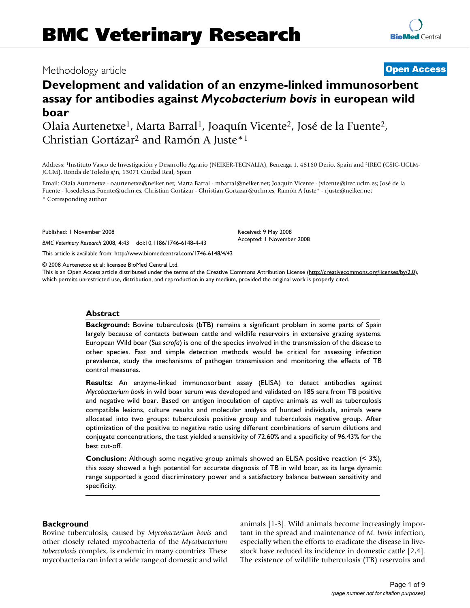# Methodology article **[Open Access](http://www.biomedcentral.com/info/about/charter/)**

**[BioMed](http://www.biomedcentral.com/)** Central

# **Development and validation of an enzyme-linked immunosorbent assay for antibodies against** *Mycobacterium bovis* **in european wild boar**

Olaia Aurtenetxe1, Marta Barral1, Joaquín Vicente2, José de la Fuente2, Christian Gortázar2 and Ramón A Juste\*1

Address: 1Instituto Vasco de Investigación y Desarrollo Agrario (NEIKER-TECNALIA), Berreaga 1, 48160 Derio, Spain and 2IREC (CSIC-UCLM-JCCM), Ronda de Toledo s/n, 13071 Ciudad Real, Spain

Email: Olaia Aurtenetxe - oaurtenetxe@neiker.net; Marta Barral - mbarral@neiker.net; Joaquín Vicente - jvicente@irec.uclm.es; José de la Fuente - JosedeJesus.Fuente@uclm.es; Christian Gortázar - Christian.Gortazar@uclm.es; Ramón A Juste\* - rjuste@neiker.net \* Corresponding author

Published: 1 November 2008

*BMC Veterinary Research* 2008, **4**:43 doi:10.1186/1746-6148-4-43

[This article is available from: http://www.biomedcentral.com/1746-6148/4/43](http://www.biomedcentral.com/1746-6148/4/43)

© 2008 Aurtenetxe et al; licensee BioMed Central Ltd.

This is an Open Access article distributed under the terms of the Creative Commons Attribution License [\(http://creativecommons.org/licenses/by/2.0\)](http://creativecommons.org/licenses/by/2.0), which permits unrestricted use, distribution, and reproduction in any medium, provided the original work is properly cited.

Received: 9 May 2008 Accepted: 1 November 2008

### **Abstract**

**Background:** Bovine tuberculosis (bTB) remains a significant problem in some parts of Spain largely because of contacts between cattle and wildlife reservoirs in extensive grazing systems. European Wild boar (*Sus scrofa*) is one of the species involved in the transmission of the disease to other species. Fast and simple detection methods would be critical for assessing infection prevalence, study the mechanisms of pathogen transmission and monitoring the effects of TB control measures.

**Results:** An enzyme-linked immunosorbent assay (ELISA) to detect antibodies against *Mycobacterium bovis* in wild boar serum was developed and validated on 185 sera from TB positive and negative wild boar. Based on antigen inoculation of captive animals as well as tuberculosis compatible lesions, culture results and molecular analysis of hunted individuals, animals were allocated into two groups: tuberculosis positive group and tuberculosis negative group. After optimization of the positive to negative ratio using different combinations of serum dilutions and conjugate concentrations, the test yielded a sensitivity of 72.60% and a specificity of 96.43% for the best cut-off.

**Conclusion:** Although some negative group animals showed an ELISA positive reaction (< 3%), this assay showed a high potential for accurate diagnosis of TB in wild boar, as its large dynamic range supported a good discriminatory power and a satisfactory balance between sensitivity and specificity.

# **Background**

Bovine tuberculosis, caused by *Mycobacterium bovis* and other closely related mycobacteria of the *Mycobacterium tuberculosis* complex, is endemic in many countries. These mycobacteria can infect a wide range of domestic and wild animals [1-3]. Wild animals become increasingly important in the spread and maintenance of *M. bovis* infection, especially when the efforts to eradicate the disease in livestock have reduced its incidence in domestic cattle [2,4]. The existence of wildlife tuberculosis (TB) reservoirs and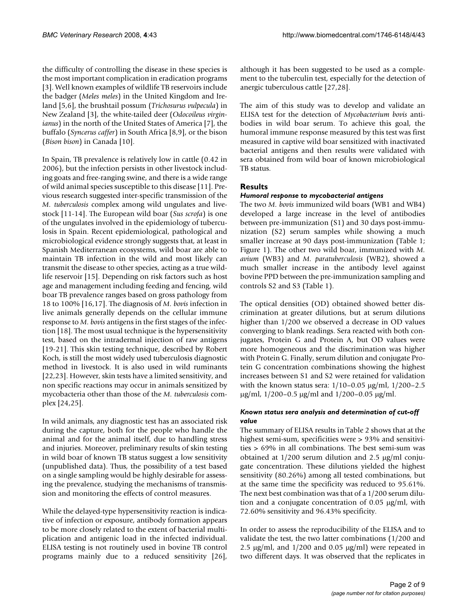the difficulty of controlling the disease in these species is the most important complication in eradication programs [3]. Well known examples of wildlife TB reservoirs include the badger (*Meles meles*) in the United Kingdom and Ireland [5,6], the brushtail possum (*Trichosurus vulpecula*) in New Zealand [3], the white-tailed deer (*Odocoileus virginianus*) in the north of the United States of America [7], the buffalo (*Syncerus caffer*) in South Africa [8,9], or the bison (*Bison bison*) in Canada [10].

In Spain, TB prevalence is relatively low in cattle (0.42 in 2006), but the infection persists in other livestock including goats and free-ranging swine, and there is a wide range of wild animal species susceptible to this disease [11]. Previous research suggested inter-specific transmission of the *M. tuberculosis* complex among wild ungulates and livestock [11-14]. The European wild boar (*Sus scrofa*) is one of the ungulates involved in the epidemiology of tuberculosis in Spain. Recent epidemiological, pathological and microbiological evidence strongly suggests that, at least in Spanish Mediterranean ecosystems, wild boar are able to maintain TB infection in the wild and most likely can transmit the disease to other species, acting as a true wildlife reservoir [15]. Depending on risk factors such as host age and management including feeding and fencing, wild boar TB prevalence ranges based on gross pathology from 18 to 100% [16,17]. The diagnosis of *M. bovis* infection in live animals generally depends on the cellular immune response to *M. bovis* antigens in the first stages of the infection [18]. The most usual technique is the hypersensitivity test, based on the intradermal injection of raw antigens [19-21]. This skin testing technique, described by Robert Koch, is still the most widely used tuberculosis diagnostic method in livestock. It is also used in wild ruminants [22,23]. However, skin tests have a limited sensitivity, and non specific reactions may occur in animals sensitized by mycobacteria other than those of the *M. tuberculosis* complex [24,25].

In wild animals, any diagnostic test has an associated risk during the capture, both for the people who handle the animal and for the animal itself, due to handling stress and injuries. Moreover, preliminary results of skin testing in wild boar of known TB status suggest a low sensitivity (unpublished data). Thus, the possibility of a test based on a single sampling would be highly desirable for assessing the prevalence, studying the mechanisms of transmission and monitoring the effects of control measures.

While the delayed-type hypersensitivity reaction is indicative of infection or exposure, antibody formation appears to be more closely related to the extent of bacterial multiplication and antigenic load in the infected individual. ELISA testing is not routinely used in bovine TB control programs mainly due to a reduced sensitivity [26],

although it has been suggested to be used as a complement to the tuberculin test, especially for the detection of anergic tuberculous cattle [27,28].

The aim of this study was to develop and validate an ELISA test for the detection of *Mycobacterium bovis* antibodies in wild boar serum. To achieve this goal, the humoral immune response measured by this test was first measured in captive wild boar sensitized with inactivated bacterial antigens and then results were validated with sera obtained from wild boar of known microbiological TB status.

# **Results**

# *Humoral response to mycobacterial antigens*

The two *M. bovis* immunized wild boars (WB1 and WB4) developed a large increase in the level of antibodies between pre-immunization (S1) and 30 days post-immunization (S2) serum samples while showing a much smaller increase at 90 days post-immunization (Table 1; Figure 1). The other two wild boar, immunized with *M. avium* (WB3) and *M. paratuberculosis* (WB2), showed a much smaller increase in the antibody level against bovine PPD between the pre-immunization sampling and controls S2 and S3 (Table 1).

The optical densities (OD) obtained showed better discrimination at greater dilutions, but at serum dilutions higher than 1/200 we observed a decrease in OD values converging to blank readings. Sera reacted with both conjugates, Protein G and Protein A, but OD values were more homogeneous and the discrimination was higher with Protein G. Finally, serum dilution and conjugate Protein G concentration combinations showing the highest increases between S1 and S2 were retained for validation with the known status sera: 1/10–0.05 μg/ml, 1/200–2.5 μg/ml,  $1/200-0.5$  μg/ml and  $1/200-0.05$  μg/ml.

# *Known status sera analysis and determination of cut-off value*

The summary of ELISA results in Table 2 shows that at the highest semi-sum, specificities were > 93% and sensitivities > 69% in all combinations. The best semi-sum was obtained at 1/200 serum dilution and 2.5 μg/ml conjugate concentration. These dilutions yielded the highest sensitivity (80.26%) among all tested combinations, but at the same time the specificity was reduced to 95.61%. The next best combination was that of a 1/200 serum dilution and a conjugate concentration of 0.05 μg/ml, with 72.60% sensitivity and 96.43% specificity.

In order to assess the reproducibility of the ELISA and to validate the test, the two latter combinations (1/200 and 2.5  $\mu$ g/ml, and 1/200 and 0.05  $\mu$ g/ml) were repeated in two different days. It was observed that the replicates in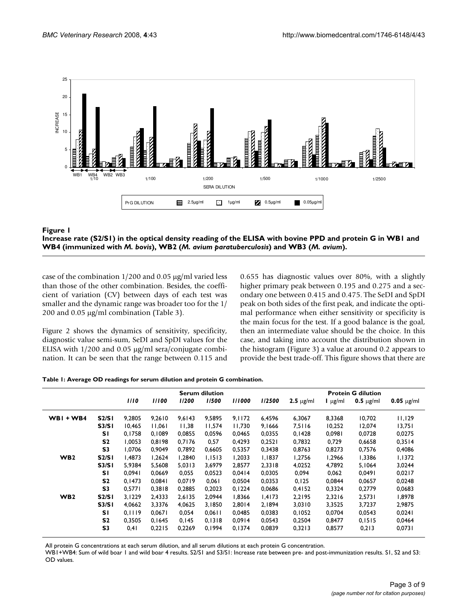



case of the combination 1/200 and 0.05 μg/ml varied less than those of the other combination. Besides, the coefficient of variation (CV) between days of each test was smaller and the dynamic range was broader too for the 1/ 200 and 0.05 μg/ml combination (Table 3).

Figure 2 shows the dynamics of sensitivity, specificity, diagnostic value semi-sum, SeDI and SpDI values for the ELISA with 1/200 and 0.05 μg/ml sera/conjugate combination. It can be seen that the range between 0.115 and 0.655 has diagnostic values over 80%, with a slightly higher primary peak between 0.195 and 0.275 and a secondary one between 0.415 and 0.475. The SeDI and SpDI peak on both sides of the first peak, and indicate the optimal performance when either sensitivity or specificity is the main focus for the test. If a good balance is the goal, then an intermediate value should be the choice. In this case, and taking into account the distribution shown in the histogram (Figure 3) a value at around 0.2 appears to provide the best trade-off. This figure shows that there are

|  |  |  | Table 1: Average OD readings for serum dilution and protein G combination. |
|--|--|--|----------------------------------------------------------------------------|
|  |  |  |                                                                            |
|  |  |  |                                                                            |

|                 |                |        |        |        | <b>Serum dilution</b> |        |        |                |                    | <b>Protein G dilution</b> |                      |
|-----------------|----------------|--------|--------|--------|-----------------------|--------|--------|----------------|--------------------|---------------------------|----------------------|
|                 |                | 1/10   | 11100  | 1/200  | 1/500                 | 1/1000 | 1/2500 | $2.5 \mu g/ml$ | $\mathsf{L}$ µg/ml | $0.5 \mu g/ml$            | $0.05 \text{ µg/ml}$ |
| $WBI + WB4$     | S2/SI          | 9,2805 | 9,2610 | 9,6143 | 9,5895                | 9,1172 | 6,4596 | 6,3067         | 8,3368             | 10,702                    | 11,129               |
|                 | <b>S3/S1</b>   | 10.465 | 11.061 | 11,38  | 11.574                | 11.730 | 9,1666 | 7,5116         | 10,252             | 12,074                    | 13,751               |
|                 | SΙ             | 0.1758 | 0.1089 | 0.0855 | 0,0596                | 0.0465 | 0,0355 | 0.1428         | 0,0981             | 0,0728                    | 0,0275               |
|                 | S <sub>2</sub> | 1,0053 | 0,8198 | 0,7176 | 0,57                  | 0,4293 | 0,2521 | 0,7832         | 0,729              | 0,6658                    | 0,3514               |
|                 | S3             | 1.0706 | 0.9049 | 0.7892 | 0,6605                | 0,5357 | 0,3438 | 0,8763         | 0,8273             | 0,7576                    | 0,4086               |
| W <sub>B2</sub> | S2/SI          | 1.4873 | 1.2624 | 1.2840 | 1,1513                | 1,2033 | 1,1837 | 1,2756         | 1,2966             | 1,3386                    | 1,1372               |
|                 | <b>S3/S1</b>   | 5,9384 | 5,5608 | 5,0313 | 3,6979                | 2,8577 | 2,3318 | 4,0252         | 4,7892             | 5,1064                    | 3,0244               |
|                 | <b>SI</b>      | 0.0941 | 0.0669 | 0,055  | 0,0523                | 0.0414 | 0,0305 | 0,094          | 0,062              | 0,0491                    | 0,0217               |
|                 | S <sub>2</sub> | 0.1473 | 0,0841 | 0.0719 | 0,061                 | 0,0504 | 0,0353 | 0,125          | 0,0844             | 0,0657                    | 0,0248               |
|                 | S3             | 0,5771 | 0,3818 | 0,2885 | 0,2023                | 0,1224 | 0,0686 | 0,4152         | 0,3324             | 0,2779                    | 0,0683               |
| W <sub>B2</sub> | S2/SI          | 3.1229 | 2.4333 | 2.6135 | 2.0944                | 1,8366 | 1,4173 | 2,2195         | 2,3216             | 2,5731                    | 1,8978               |
|                 | <b>S3/S1</b>   | 4,0662 | 3,3376 | 4,0625 | 3,1850                | 2,8014 | 2,1894 | 3,0310         | 3,3525             | 3,7237                    | 2,9875               |
|                 | SΙ             | 0,1119 | 0,0671 | 0,054  | 0,0611                | 0,0485 | 0,0383 | 0,1052         | 0,0704             | 0,0543                    | 0,0241               |
|                 | S <sub>2</sub> | 0.3505 | 0,1645 | 0.145  | 0,1318                | 0.0914 | 0.0543 | 0,2504         | 0.8477             | 0,1515                    | 0,0464               |
|                 | S <sub>3</sub> | 0,41   | 0,2215 | 0,2269 | 0,1994                | 0,1374 | 0,0839 | 0,3213         | 0,8577             | 0,213                     | 0,0731               |

All protein G concentrations at each serum dilution, and all serum dilutions at each protein G concentration.

WB1+WB4: Sum of wild boar 1 and wild boar 4 results. S2/S1 and S3/S1: Increase rate between pre- and post-immunization results. S1, S2 and S3: OD values.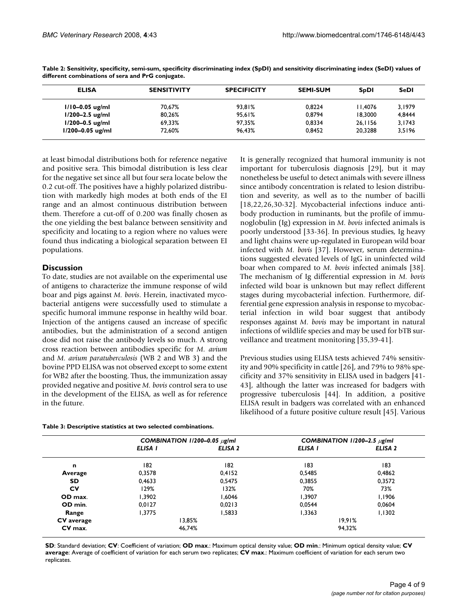| <b>ELISA</b>         | <b>SENSITIVITY</b> | <b>SPECIFICITY</b> | <b>SEMI-SUM</b> | <b>SpDI</b> | <b>SeDI</b> |
|----------------------|--------------------|--------------------|-----------------|-------------|-------------|
| $1/10 - 0.05$ ug/ml  | 70.67%             | 93.81%             | 0.8224          | 11.4076     | 3.1979      |
| $1/200 - 2.5$ ug/ml  | 80,26%             | 95,61%             | 0.8794          | 18,3000     | 4,8444      |
| $1/200 - 0.5$ ug/ml  | 69.33%             | 97.35%             | 0.8334          | 26.1156     | 3,1743      |
| $1/200 - 0.05$ ug/ml | 72.60%             | 96.43%             | 0.8452          | 20,3288     | 3,5196      |
|                      |                    |                    |                 |             |             |

**Table 2: Sensitivity, specificity, semi-sum, specificity discriminating index (SpDI) and sensitivity discriminating index (SeDI) values of different combinations of sera and PrG conjugate.**

at least bimodal distributions both for reference negative and positive sera. This bimodal distribution is less clear for the negative set since all but four sera locate below the 0.2 cut-off. The positives have a highly polarized distribution with markedly high modes at both ends of the EI range and an almost continuous distribution between them. Therefore a cut-off of 0.200 was finally chosen as the one yielding the best balance between sensitivity and specificity and locating to a region where no values were found thus indicating a biological separation between EI populations.

# **Discussion**

To date, studies are not available on the experimental use of antigens to characterize the immune response of wild boar and pigs against *M. bovis*. Herein, inactivated mycobacterial antigens were successfully used to stimulate a specific humoral immune response in healthy wild boar. Injection of the antigens caused an increase of specific antibodies, but the administration of a second antigen dose did not raise the antibody levels so much. A strong cross reaction between antibodies specific for *M. avium* and *M. avium paratuberculosis* (WB 2 and WB 3) and the bovine PPD ELISA was not observed except to some extent for WB2 after the boosting. Thus, the immunization assay provided negative and positive *M. bovis* control sera to use in the development of the ELISA, as well as for reference in the future.

| Table 3: Descriptive statistics at two selected combinations. |  |
|---------------------------------------------------------------|--|
|---------------------------------------------------------------|--|

It is generally recognized that humoral immunity is not important for tuberculosis diagnosis [29], but it may nonetheless be useful to detect animals with severe illness since antibody concentration is related to lesion distribution and severity, as well as to the number of bacilli [18,22,26,30-32]. Mycobacterial infections induce antibody production in ruminants, but the profile of immunoglobulin (Ig) expression in *M. bovis* infected animals is poorly understood [33-36]. In previous studies, Ig heavy and light chains were up-regulated in European wild boar infected with *M. bovis* [37]. However, serum determinations suggested elevated levels of IgG in uninfected wild boar when compared to *M. bovis* infected animals [38]. The mechanism of Ig differential expression in *M. bovis* infected wild boar is unknown but may reflect different stages during mycobacterial infection. Furthermore, differential gene expression analysis in response to mycobacterial infection in wild boar suggest that antibody responses against *M. bovis* may be important in natural infections of wildlife species and may be used for bTB surveillance and treatment monitoring [35,39-41].

Previous studies using ELISA tests achieved 74% sensitivity and 90% specificity in cattle [26], and 79% to 98% specificity and 37% sensitivity in ELISA used in badgers [41- 43], although the latter was increased for badgers with progressive tuberculosis [44]. In addition, a positive ELISA result in badgers was correlated with an enhanced likelihood of a future positive culture result [45]. Various

|            | COMBINATION 1/200-0.05 $\mu$ g/ml |                    | COMBINATION $1/200-2.5 \mu$ g/ml |         |  |
|------------|-----------------------------------|--------------------|----------------------------------|---------|--|
|            | ELISA I                           | ELISA <sub>2</sub> | ELISA I                          | ELISA 2 |  |
| n          | 182                               | 182                | 183                              | 183     |  |
| Average    | 0.3578                            | 0,4152             | 0,5485                           | 0,4862  |  |
| <b>SD</b>  | 0.4633                            | 0.5475             | 0,3855                           | 0,3572  |  |
| CV         | 129%                              | 132%               | 70%                              | 73%     |  |
| OD max.    | 1.3902                            | 1.6046             | 1.3907                           | 1,1906  |  |
| OD min.    | 0.0127                            | 0.0213             | 0.0544                           | 0,0604  |  |
| Range      | 1.3775                            | 1,5833             | 1,3363                           | 1,1302  |  |
| CV average | 13,85%                            |                    | 19,91%                           |         |  |
| CV max.    |                                   | 46,74%             |                                  | 94.32%  |  |

**SD**: Standard deviation; **CV**: Coefficient of variation; **OD max**.: Maximum optical density value; **OD min**.: Minimum optical density value; **CV average**: Average of coefficient of variation for each serum two replicates; **CV max**.: Maximum coefficient of variation for each serum two replicates.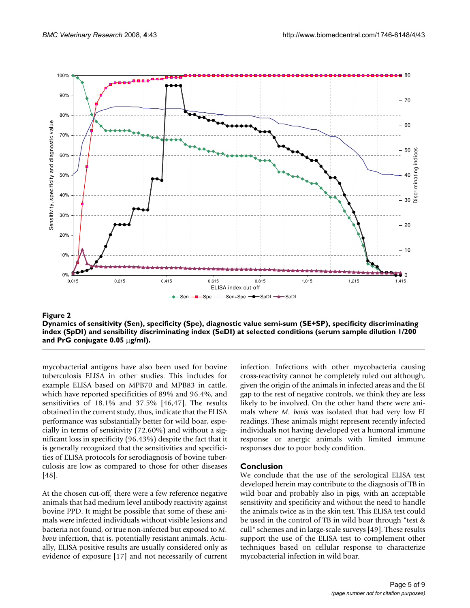

Figure 2 and 2008 and 2008 and 2008 and 2008 and 2008 and 2008 and 2008 and 2008 and 2008 and 2008 and 2008 an **Dynamics of sensitivity (Sen), specificity (Spe), diagnostic value semi-sum (SE+SP), specificity discriminating index (SpDI) and sensibility discriminating index (SeDI) at selected conditions (serum sample dilution 1/200 and PrG conjugate 0.05** μ**g/ml).**

mycobacterial antigens have also been used for bovine tuberculosis ELISA in other studies. This includes for example ELISA based on MPB70 and MPB83 in cattle, which have reported specificities of 89% and 96.4%, and sensitivities of 18.1% and 37.5% [46,47]. The results obtained in the current study, thus, indicate that the ELISA performance was substantially better for wild boar, especially in terms of sensitivity (72.60%) and without a significant loss in specificity (96.43%) despite the fact that it is generally recognized that the sensitivities and specificities of ELISA protocols for serodiagnosis of bovine tuberculosis are low as compared to those for other diseases [48].

At the chosen cut-off, there were a few reference negative animals that had medium level antibody reactivity against bovine PPD. It might be possible that some of these animals were infected individuals without visible lesions and bacteria not found, or true non-infected but exposed to *M. bovis* infection, that is, potentially resistant animals. Actually, ELISA positive results are usually considered only as evidence of exposure [17] and not necessarily of current

infection. Infections with other mycobacteria causing cross-reactivity cannot be completely ruled out although, given the origin of the animals in infected areas and the EI gap to the rest of negative controls, we think they are less likely to be involved. On the other hand there were animals where *M. bovis* was isolated that had very low EI readings. These animals might represent recently infected individuals not having developed yet a humoral immune response or anergic animals with limited immune responses due to poor body condition.

# **Conclusion**

We conclude that the use of the serological ELISA test developed herein may contribute to the diagnosis of TB in wild boar and probably also in pigs, with an acceptable sensitivity and specificity and without the need to handle the animals twice as in the skin test. This ELISA test could be used in the control of TB in wild boar through "test & cull" schemes and in large-scale surveys [49]. These results support the use of the ELISA test to complement other techniques based on cellular response to characterize mycobacterial infection in wild boar.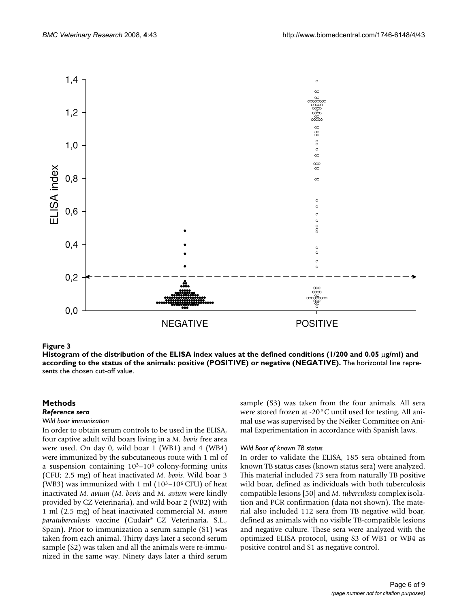

### status of the animals: positive (POSITIVE) or negative (NEGATIVE) **Figure 3** Histogram of the distribution of the ELISA index values at the defined conditions (1/200 and 0.05 μg/ml) and according to the

**Histogram of the distribution of the ELISA index values at the defined conditions (1/200 and 0.05** μ**g/ml) and according to the status of the animals: positive (POSITIVE) or negative (NEGATIVE).** The horizontal line represents the chosen cut-off value.

# **Methods**

## *Reference sera*

#### *Wild boar immunization*

In order to obtain serum controls to be used in the ELISA, four captive adult wild boars living in a *M. bovis* free area were used. On day 0, wild boar 1 (WB1) and 4 (WB4) were immunized by the subcutaneous route with 1 ml of a suspension containing 103–106 colony-forming units (CFU; 2.5 mg) of heat inactivated *M. bovis*. Wild boar 3 (WB3) was immunized with 1 ml  $(10^3-10^6 \text{ CFU})$  of heat inactivated *M. avium* (*M. bovis* and *M. avium* were kindly provided by CZ Veterinaria), and wild boar 2 (WB2) with 1 ml (2.5 mg) of heat inactivated commercial *M. avium paratuberculosis* vaccine (Gudair® CZ Veterinaria, S.L., Spain). Prior to immunization a serum sample (S1) was taken from each animal. Thirty days later a second serum sample (S2) was taken and all the animals were re-immunized in the same way. Ninety days later a third serum

sample (S3) was taken from the four animals. All sera were stored frozen at -20°C until used for testing. All animal use was supervised by the Neiker Committee on Animal Experimentation in accordance with Spanish laws.

### *Wild Boar of known TB status*

In order to validate the ELISA, 185 sera obtained from known TB status cases (known status sera) were analyzed. This material included 73 sera from naturally TB positive wild boar, defined as individuals with both tuberculosis compatible lesions [50] and *M. tuberculosis* complex isolation and PCR confirmation (data not shown). The material also included 112 sera from TB negative wild boar, defined as animals with no visible TB-compatible lesions and negative culture. These sera were analyzed with the optimized ELISA protocol, using S3 of WB1 or WB4 as positive control and S1 as negative control.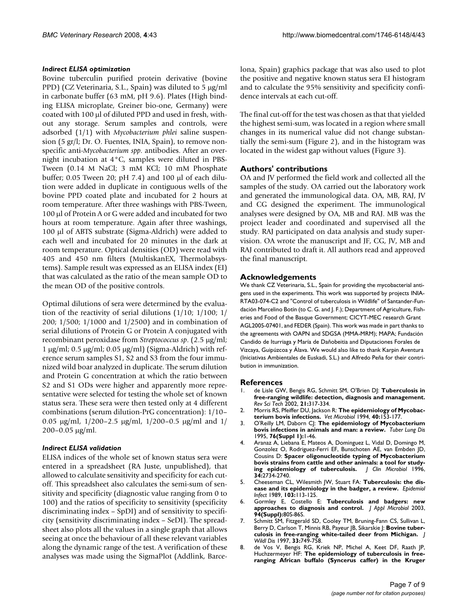#### *Indirect ELISA optimization*

Bovine tuberculin purified protein derivative (bovine PPD) (CZ Veterinaria, S.L., Spain) was diluted to 5 μg/ml in carbonate buffer (63 mM, pH 9.6). Plates (High binding ELISA microplate, Greiner bio-one, Germany) were coated with 100 μl of diluted PPD and used in fresh, without any storage. Serum samples and controls, were adsorbed (1/1) with *Mycobacterium phlei* saline suspension (5 gr/l; Dr. O. Fuentes, INIA, Spain), to remove nonspecific anti-*Mycobacterium spp*. antibodies. After an overnight incubation at 4°C, samples were diluted in PBS-Tween (0.14 M NaCl; 3 mM KCl; 10 mM Phosphate buffer; 0.05 Tween 20; pH 7.4) and 100 μl of each dilution were added in duplicate in contiguous wells of the bovine PPD coated plate and incubated for 2 hours at room temperature. After three washings with PBS-Tween, 100 μl of Protein A or G were added and incubated for two hours at room temperature. Again after three washings, 100 μl of ABTS substrate (Sigma-Aldrich) were added to each well and incubated for 20 minutes in the dark at room temperature. Optical densities (OD) were read with 405 and 450 nm filters (MultiskanEX, Thermolabsystems). Sample result was expressed as an ELISA index (EI) that was calculated as the ratio of the mean sample OD to the mean OD of the positive controls.

Optimal dilutions of sera were determined by the evaluation of the reactivity of serial dilutions (1/10; 1/100; 1/ 200; 1/500; 1/1000 and 1/2500) and in combination of serial dilutions of Protein G or Protein A conjugated with recombinant peroxidase from *Streptococcus sp*. (2.5 μg/ml; 1 μg/ml; 0.5 μg/ml; 0.05 μg/ml) (Sigma-Aldrich) with reference serum samples S1, S2 and S3 from the four immunized wild boar analyzed in duplicate. The serum dilution and Protein G concentration at which the ratio between S2 and S1 ODs were higher and apparently more representative were selected for testing the whole set of known status sera. These sera were then tested only at 4 different combinations (serum dilution-PrG concentration): 1/10– 0.05 μg/ml, 1/200–2.5 μg/ml, 1/200–0.5 μg/ml and 1/ 200–0.05 μg/ml.

#### *Indirect ELISA validation*

ELISA indices of the whole set of known status sera were entered in a spreadsheet (RA Juste, unpublished), that allowed to calculate sensitivity and specificity for each cutoff. This spreadsheet also calculates the semi-sum of sensitivity and specificity (diagnostic value ranging from 0 to 100) and the ratios of specificity to sensitivity (specificity discriminating index – SpDI) and of sensitivity to specificity (sensitivity discriminating index – SeDI). The spreadsheet also plots all the values in a single graph that allows seeing at once the behaviour of all these relevant variables along the dynamic range of the test. A verification of these analyses was made using the SigmaPlot (Addlink, Barcelona, Spain) graphics package that was also used to plot the positive and negative known status sera EI histogram and to calculate the 95% sensitivity and specificity confidence intervals at each cut-off.

The final cut-off for the test was chosen as that that yielded the highest semi-sum, was located in a region where small changes in its numerical value did not change substantially the semi-sum (Figure 2), and in the histogram was located in the widest gap without values (Figure 3).

### **Authors' contributions**

OA and JV performed the field work and collected all the samples of the study. OA carried out the laboratory work and generated the immunological data. OA, MB, RAJ, JV and CG designed the experiment. The immunological analyses were designed by OA, MB and RAJ. MB was the project leader and coordinated and supervised all the study. RAJ participated on data analysis and study supervision. OA wrote the manuscript and JF, CG, JV, MB and RAJ contributed to draft it. All authors read and approved the final manuscript.

#### **Acknowledgements**

We thank CZ Veterinaria, S.L., Spain for providing the mycobacterial antigens used in the experiments. This work was supported by projects INIA-RTA03-074-C2 and "Control of tuberculosis in Wildlife" of Santander-Fundación Marcelino Botín (to C. G. and J. F.); Department of Agriculture, Fisheries and Food of the Basque Government; CICYT-MEC research Grant AGL2005-07401, and FEDER (Spain). This work was made in part thanks to the agreements with OAPN and SDGSA (MMA-MRM); MAPA; Fundación Candido de Iturriaga y María de Dañobeitia and Diputaciones Forales de Vizcaya, Guipúzcoa y Álava. We would also like to thank Karpin Aventura (Iniciativas Ambientales de Euskadi, S.L.) and Alfredo Peña for their contribution in immunization.

#### **References**

- 1. de Lisle GW, Bengis RG, Schmitt SM, O'Brien DJ: **[Tuberculosis in](http://www.ncbi.nlm.nih.gov/entrez/query.fcgi?cmd=Retrieve&db=PubMed&dopt=Abstract&list_uids=11974618) [free-ranging wildlife: detection, diagnosis and management.](http://www.ncbi.nlm.nih.gov/entrez/query.fcgi?cmd=Retrieve&db=PubMed&dopt=Abstract&list_uids=11974618)** *Rev Sci Tech* 2002, **21:**317-334.
- 2. Morris RS, Pfeiffer DU, Jackson R: **[The epidemiology of Mycobac](http://www.ncbi.nlm.nih.gov/entrez/query.fcgi?cmd=Retrieve&db=PubMed&dopt=Abstract&list_uids=8073623)[terium bovis infections.](http://www.ncbi.nlm.nih.gov/entrez/query.fcgi?cmd=Retrieve&db=PubMed&dopt=Abstract&list_uids=8073623)** *Vet Microbiol* 1994, **40:**153-177.
- 3. O'Reilly LM, Daborn CJ: **[The epidemiology of Mycobacterium](http://www.ncbi.nlm.nih.gov/entrez/query.fcgi?cmd=Retrieve&db=PubMed&dopt=Abstract&list_uids=7579326) [bovis infections in animals and man: a review.](http://www.ncbi.nlm.nih.gov/entrez/query.fcgi?cmd=Retrieve&db=PubMed&dopt=Abstract&list_uids=7579326)** *Tuber Lung Dis* 1995, **76(Suppl 1):**1-46.
- 4. Aranaz A, Liebana E, Mateos A, Dominguez L, Vidal D, Domingo M, Gonzolez O, Rodriguez-Ferri EF, Bunschoten AE, van Embden JD, Cousins D: **[Spacer oligonucleotide typing of Mycobacterium](http://www.ncbi.nlm.nih.gov/entrez/query.fcgi?cmd=Retrieve&db=PubMed&dopt=Abstract&list_uids=8897175) bovis strains from cattle and other animals: a tool for study-<br>ing epidemiology of tuberculosis.** J Clin Microbiol 1996, [ing epidemiology of tuberculosis.](http://www.ncbi.nlm.nih.gov/entrez/query.fcgi?cmd=Retrieve&db=PubMed&dopt=Abstract&list_uids=8897175) **34:**2734-2740.
- 5. Cheeseman CL, Wilesmith JW, Stuart FA: **[Tuberculosis: the dis](http://www.ncbi.nlm.nih.gov/entrez/query.fcgi?cmd=Retrieve&db=PubMed&dopt=Abstract&list_uids=2673822)[ease and its epidemiology in the badger, a review.](http://www.ncbi.nlm.nih.gov/entrez/query.fcgi?cmd=Retrieve&db=PubMed&dopt=Abstract&list_uids=2673822)** *Epidemiol Infect* 1989, **103:**113-125.
- 6. Gormley E, Costello E: **[Tuberculosis and badgers: new](http://www.ncbi.nlm.nih.gov/entrez/query.fcgi?cmd=Retrieve&db=PubMed&dopt=Abstract&list_uids=12675939) [approaches to diagnosis and control.](http://www.ncbi.nlm.nih.gov/entrez/query.fcgi?cmd=Retrieve&db=PubMed&dopt=Abstract&list_uids=12675939)** *J Appl Microbiol* 2003, **94(Suppl):**80S-86S.
- 7. Schmitt SM, Fitzgerald SD, Cooley TM, Bruning-Fann CS, Sullivan L, Berry D, Carlson T, Minnis RB, Payeur JB, Sikarskie J: **[Bovine tuber](http://www.ncbi.nlm.nih.gov/entrez/query.fcgi?cmd=Retrieve&db=PubMed&dopt=Abstract&list_uids=9391958)[culosis in free-ranging white-tailed deer from Michigan.](http://www.ncbi.nlm.nih.gov/entrez/query.fcgi?cmd=Retrieve&db=PubMed&dopt=Abstract&list_uids=9391958)** *J Wildl Dis* 1997, **33:**749-758.
- 8. de Vos V, Bengis RG, Kriek NP, Michel A, Keet DF, Raath JP, Huchzermeyer HF: **[The epidemiology of tuberculosis in free](http://www.ncbi.nlm.nih.gov/entrez/query.fcgi?cmd=Retrieve&db=PubMed&dopt=Abstract&list_uids=11585089)[ranging African buffalo \(Syncerus caffer\) in the Kruger](http://www.ncbi.nlm.nih.gov/entrez/query.fcgi?cmd=Retrieve&db=PubMed&dopt=Abstract&list_uids=11585089)**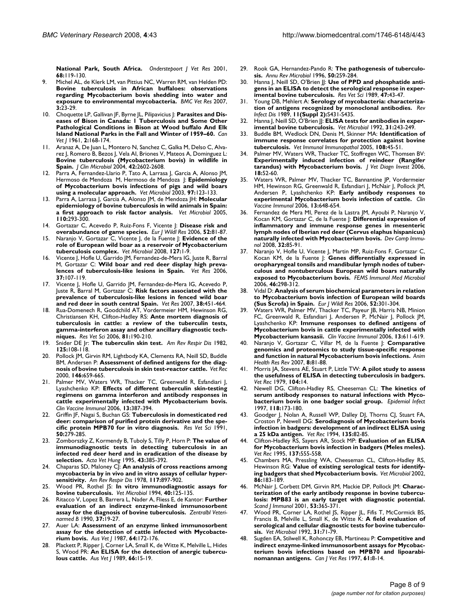**[National Park, South Africa.](http://www.ncbi.nlm.nih.gov/entrez/query.fcgi?cmd=Retrieve&db=PubMed&dopt=Abstract&list_uids=11585089)** *Onderstepoort J Vet Res* 2001, **68:**119-130.

- 9. Michel AL, de Klerk LM, van Pittius NC, Warren RM, van Helden PD: **[Bovine tuberculosis in African buffaloes: observations](http://www.ncbi.nlm.nih.gov/entrez/query.fcgi?cmd=Retrieve&db=PubMed&dopt=Abstract&list_uids=17900356) regarding Mycobacterium bovis shedding into water and [exposure to environmental mycobacteria.](http://www.ncbi.nlm.nih.gov/entrez/query.fcgi?cmd=Retrieve&db=PubMed&dopt=Abstract&list_uids=17900356)** *BMC Vet Res* 2007, **3:**23-29.
- 10. Choquette LP, Gallivan JF, Byrne JL, Pilipavicius J: **[Parasites and Dis](http://www.ncbi.nlm.nih.gov/entrez/query.fcgi?cmd=Retrieve&db=PubMed&dopt=Abstract&list_uids=17421345)[eases of Bison in Canada: 1 Tuberculosis and Some Other](http://www.ncbi.nlm.nih.gov/entrez/query.fcgi?cmd=Retrieve&db=PubMed&dopt=Abstract&list_uids=17421345) Pathological Conditions in Bison at Wood buffalo And Elk [Island National Parks in the Fall and Winter of 1959–60.](http://www.ncbi.nlm.nih.gov/entrez/query.fcgi?cmd=Retrieve&db=PubMed&dopt=Abstract&list_uids=17421345)** *Can Vet J* 1961, **2:**168-174.
- 11. Aranaz A, De Juan L, Montero N, Sanchez C, Galka M, Delso C, Alvarez J, Romero B, Bezos J, Vela AI, Briones V, Mateos A, Dominguez L: **[Bovine tuberculosis \(Mycobacterium bovis\) in wildlife in](http://www.ncbi.nlm.nih.gov/entrez/query.fcgi?cmd=Retrieve&db=PubMed&dopt=Abstract&list_uids=15184440) [Spain.](http://www.ncbi.nlm.nih.gov/entrez/query.fcgi?cmd=Retrieve&db=PubMed&dopt=Abstract&list_uids=15184440)** *J Clin Microbiol* 2004, **42:**2602-2608.
- 12. Parra A, Fernandez-Llario P, Tato A, Larrasa J, Garcia A, Alonso JM, Hermoso de Mendoza M, Hermoso de Mendoza J: **[Epidemiology](http://www.ncbi.nlm.nih.gov/entrez/query.fcgi?cmd=Retrieve&db=PubMed&dopt=Abstract&list_uids=14637044) [of Mycobacterium bovis infections of pigs and wild boars](http://www.ncbi.nlm.nih.gov/entrez/query.fcgi?cmd=Retrieve&db=PubMed&dopt=Abstract&list_uids=14637044) [using a molecular approach.](http://www.ncbi.nlm.nih.gov/entrez/query.fcgi?cmd=Retrieve&db=PubMed&dopt=Abstract&list_uids=14637044)** *Vet Microbiol* 2003, **97:**123-133.
- 13. Parra A, Larrasa J, Garcia A, Alonso JM, de Mendoza JH: **[Molecular](http://www.ncbi.nlm.nih.gov/entrez/query.fcgi?cmd=Retrieve&db=PubMed&dopt=Abstract&list_uids=16143470) [epidemiology of bovine tuberculosis in wild animals in Spain:](http://www.ncbi.nlm.nih.gov/entrez/query.fcgi?cmd=Retrieve&db=PubMed&dopt=Abstract&list_uids=16143470) [a first approach to risk factor analysis.](http://www.ncbi.nlm.nih.gov/entrez/query.fcgi?cmd=Retrieve&db=PubMed&dopt=Abstract&list_uids=16143470)** *Vet Microbiol* 2005, **110:**293-300.
- 14. Gortazar C, Acevedo P, Ruiz-Fons F, Vicente J: **Disease risk and overabundance of game species.** *Eur J Wildl Res* 2006, **52:**81-87.
- 15. Naranjo V, Gortazar C, Vicente J, de la Fuente J: **[Evidence of the](http://www.ncbi.nlm.nih.gov/entrez/query.fcgi?cmd=Retrieve&db=PubMed&dopt=Abstract&list_uids=18023299) [role of European wild boar as a reservoir of Mycobacterium](http://www.ncbi.nlm.nih.gov/entrez/query.fcgi?cmd=Retrieve&db=PubMed&dopt=Abstract&list_uids=18023299) [tuberculosis complex.](http://www.ncbi.nlm.nih.gov/entrez/query.fcgi?cmd=Retrieve&db=PubMed&dopt=Abstract&list_uids=18023299)** *Vet Microbiol* 2008, **127:**1-9.
- 16. Vicente J, Hofle U, Garrido JM, Fernandez-de-Mera IG, Juste R, Barral M, Gortazar C: **[Wild boar and red deer display high preva](http://www.ncbi.nlm.nih.gov/entrez/query.fcgi?cmd=Retrieve&db=PubMed&dopt=Abstract&list_uids=16336928)[lences of tuberculosis-like lesions in Spain.](http://www.ncbi.nlm.nih.gov/entrez/query.fcgi?cmd=Retrieve&db=PubMed&dopt=Abstract&list_uids=16336928)** *Vet Res* 2006, **37:**107-119.
- 17. Vicente J, Hofle U, Garrido JM, Fernandez-de-Mera IG, Acevedo P, Juste R, Barral M, Gortazar C: **[Risk factors associated with the](http://www.ncbi.nlm.nih.gov/entrez/query.fcgi?cmd=Retrieve&db=PubMed&dopt=Abstract&list_uids=17425933) [prevalence of tuberculosis-like lesions in fenced wild boar](http://www.ncbi.nlm.nih.gov/entrez/query.fcgi?cmd=Retrieve&db=PubMed&dopt=Abstract&list_uids=17425933) [and red deer in south central Spain.](http://www.ncbi.nlm.nih.gov/entrez/query.fcgi?cmd=Retrieve&db=PubMed&dopt=Abstract&list_uids=17425933)** *Vet Res* 2007, **38:**451-464.
- 18. Rua-Domenech R, Goodchild AT, Vordermeier HM, Hewinson RG, Christiansen KH, Clifton-Hadley RS: **[Ante mortem diagnosis of](http://www.ncbi.nlm.nih.gov/entrez/query.fcgi?cmd=Retrieve&db=PubMed&dopt=Abstract&list_uids=16513150) [tuberculosis in cattle: a review of the tuberculin tests,](http://www.ncbi.nlm.nih.gov/entrez/query.fcgi?cmd=Retrieve&db=PubMed&dopt=Abstract&list_uids=16513150) gamma-interferon assay and other ancillary diagnostic tech[niques.](http://www.ncbi.nlm.nih.gov/entrez/query.fcgi?cmd=Retrieve&db=PubMed&dopt=Abstract&list_uids=16513150)** *Res Vet Sci* 2006, **81:**190-210.
- 19. Snider DE Jr: **[The tuberculin skin test.](http://www.ncbi.nlm.nih.gov/entrez/query.fcgi?cmd=Retrieve&db=PubMed&dopt=Abstract&list_uids=7041719)** *Am Rev Respir Dis* 1982, **125:**108-118.
- 20. Pollock JM, Girvin RM, Lightbody KA, Clements RA, Neill SD, Buddle BM, Andersen P: **[Assessment of defined antigens for the diag](http://www.ncbi.nlm.nih.gov/entrez/query.fcgi?cmd=Retrieve&db=PubMed&dopt=Abstract&list_uids=10883854)[nosis of bovine tuberculosis in skin test-reactor cattle.](http://www.ncbi.nlm.nih.gov/entrez/query.fcgi?cmd=Retrieve&db=PubMed&dopt=Abstract&list_uids=10883854)** *Vet Rec* 2000, **146:**659-665.
- 21. Palmer MV, Waters WR, Thacker TC, Greenwald R, Esfandiari J, Lyashchenko KP: **[Effects of different tuberculin skin-testing](http://www.ncbi.nlm.nih.gov/entrez/query.fcgi?cmd=Retrieve&db=PubMed&dopt=Abstract&list_uids=16522782) regimens on gamma interferon and antibody responses in [cattle experimentally infected with Mycobacterium bovis.](http://www.ncbi.nlm.nih.gov/entrez/query.fcgi?cmd=Retrieve&db=PubMed&dopt=Abstract&list_uids=16522782)** *Clin Vaccine Immunol* 2006, **13:**387-394.
- 22. Griffin JF, Nagai S, Buchan GS: **[Tuberculosis in domesticated red](http://www.ncbi.nlm.nih.gov/entrez/query.fcgi?cmd=Retrieve&db=PubMed&dopt=Abstract&list_uids=1882133) [deer: comparison of purified protein derivative and the spe](http://www.ncbi.nlm.nih.gov/entrez/query.fcgi?cmd=Retrieve&db=PubMed&dopt=Abstract&list_uids=1882133)[cific protein MPB70 for in vitro diagnosis.](http://www.ncbi.nlm.nih.gov/entrez/query.fcgi?cmd=Retrieve&db=PubMed&dopt=Abstract&list_uids=1882133)** *Res Vet Sci* 1991, **50:**279-285.
- 23. Zomborszky Z, Kormendy B, Tuboly S, Tilly P, Horn P: **[The value of](http://www.ncbi.nlm.nih.gov/entrez/query.fcgi?cmd=Retrieve&db=PubMed&dopt=Abstract&list_uids=8882737) [immunodiagnostic tests in detecting tuberculosis in an](http://www.ncbi.nlm.nih.gov/entrez/query.fcgi?cmd=Retrieve&db=PubMed&dopt=Abstract&list_uids=8882737) infected red deer herd and in eradication of the disease by [selection.](http://www.ncbi.nlm.nih.gov/entrez/query.fcgi?cmd=Retrieve&db=PubMed&dopt=Abstract&list_uids=8882737)** *Acta Vet Hung* 1995, **43:**385-392.
- 24. Chaparas SD, Maloney CJ: **[An analysis of cross reactions among](http://www.ncbi.nlm.nih.gov/entrez/query.fcgi?cmd=Retrieve&db=PubMed&dopt=Abstract&list_uids=655493) [mycobacteria by in vivo and in vitro assays of cellular hyper](http://www.ncbi.nlm.nih.gov/entrez/query.fcgi?cmd=Retrieve&db=PubMed&dopt=Abstract&list_uids=655493)[sensitivity.](http://www.ncbi.nlm.nih.gov/entrez/query.fcgi?cmd=Retrieve&db=PubMed&dopt=Abstract&list_uids=655493)** *Am Rev Respir Dis* 1978, **117:**897-902.
- 25. Wood PR, Rothel JS: **[In vitro immunodiagnostic assays for](http://www.ncbi.nlm.nih.gov/entrez/query.fcgi?cmd=Retrieve&db=PubMed&dopt=Abstract&list_uids=8073620) [bovine tuberculosis.](http://www.ncbi.nlm.nih.gov/entrez/query.fcgi?cmd=Retrieve&db=PubMed&dopt=Abstract&list_uids=8073620)** *Vet Microbiol* 1994, **40:**125-135.
- 26. Ritacco V, Lopez B, Barrera L, Nader A, Fliess E, de Kantor: **[Further](http://www.ncbi.nlm.nih.gov/entrez/query.fcgi?cmd=Retrieve&db=PubMed&dopt=Abstract&list_uids=2189279) [evaluation of an indirect enzyme-linked immunosorbent](http://www.ncbi.nlm.nih.gov/entrez/query.fcgi?cmd=Retrieve&db=PubMed&dopt=Abstract&list_uids=2189279) [assay for the diagnosis of bovine tuberculosis.](http://www.ncbi.nlm.nih.gov/entrez/query.fcgi?cmd=Retrieve&db=PubMed&dopt=Abstract&list_uids=2189279)** *Zentralbl Veterinarmed B* 1990, **37:**19-27.
- 27. Auer LA: **Assessment of an enzyme linked immunosorbent assay for the detection of cattle infected with Mycobacterium bovis.** *Aus Vet J* 1987, **64:**172-176.
- 28. Plackett P, Ripper J, Corner LA, Small K, de Witte K, Melville L, Hides S, Wood PR: **An ELISA for the detection of anergic tuberculous cattle.** *Aus Vet J* 1989, **66:**15-19.
- 29. Rook GA, Hernandez-Pando R: **[The pathogenesis of tuberculo](http://www.ncbi.nlm.nih.gov/entrez/query.fcgi?cmd=Retrieve&db=PubMed&dopt=Abstract&list_uids=8905081)[sis.](http://www.ncbi.nlm.nih.gov/entrez/query.fcgi?cmd=Retrieve&db=PubMed&dopt=Abstract&list_uids=8905081)** *Annu Rev Microbiol* 1996, **50:**259-284.
- 30. Hanna J, Neill SD, O'Brien JJ: [Use of PPD and phosphatide anti](http://www.ncbi.nlm.nih.gov/entrez/query.fcgi?cmd=Retrieve&db=PubMed&dopt=Abstract&list_uids=2672202)**[gens in an ELISA to detect the serological response in exper](http://www.ncbi.nlm.nih.gov/entrez/query.fcgi?cmd=Retrieve&db=PubMed&dopt=Abstract&list_uids=2672202)[imental bovine tuberculosis.](http://www.ncbi.nlm.nih.gov/entrez/query.fcgi?cmd=Retrieve&db=PubMed&dopt=Abstract&list_uids=2672202)** *Res Vet Sci* 1989, **47:**43-47.
- 31. Young DB, Mehlert A: **[Serology of mycobacteria: characteriza](http://www.ncbi.nlm.nih.gov/entrez/query.fcgi?cmd=Retrieve&db=PubMed&dopt=Abstract&list_uids=2496457)[tion of antigens recognized by monoclonal antibodies.](http://www.ncbi.nlm.nih.gov/entrez/query.fcgi?cmd=Retrieve&db=PubMed&dopt=Abstract&list_uids=2496457)** *Rev Infect Dis* 1989, **11(Suppl 2):**S431-S435.
- 32. Hanna J, Neill SD, O'Brien *J*: **[ELISA tests for antibodies in exper](http://www.ncbi.nlm.nih.gov/entrez/query.fcgi?cmd=Retrieve&db=PubMed&dopt=Abstract&list_uids=1626373)[imental bovine tuberculosis.](http://www.ncbi.nlm.nih.gov/entrez/query.fcgi?cmd=Retrieve&db=PubMed&dopt=Abstract&list_uids=1626373)** *Vet Microbiol* 1992, **31:**243-249.
- 33. Buddle BM, Wedlock DN, Denis M, Skinner MA: **[Identification of](http://www.ncbi.nlm.nih.gov/entrez/query.fcgi?cmd=Retrieve&db=PubMed&dopt=Abstract&list_uids=16140388) [immune response correlates for protection against bovine](http://www.ncbi.nlm.nih.gov/entrez/query.fcgi?cmd=Retrieve&db=PubMed&dopt=Abstract&list_uids=16140388) [tuberculosis.](http://www.ncbi.nlm.nih.gov/entrez/query.fcgi?cmd=Retrieve&db=PubMed&dopt=Abstract&list_uids=16140388)** *Vet Immunol Immunopathol* 2005, **108:**45-51.
- 34. Palmer MV, Waters WR, Thacker TC, Stoffregen WC, Thomsen BV: **[Experimentally induced infection of reindeer \(Rangifer](http://www.ncbi.nlm.nih.gov/entrez/query.fcgi?cmd=Retrieve&db=PubMed&dopt=Abstract&list_uids=16566257) [tarandus\) with Mycobacterium bovis.](http://www.ncbi.nlm.nih.gov/entrez/query.fcgi?cmd=Retrieve&db=PubMed&dopt=Abstract&list_uids=16566257)** *J Vet Diagn Invest* 2006, **18:**52-60.
- 35. Waters WR, Palmer MV, Thacker TC, Bannantine JP, Vordermeier HM, Hewinson RG, Greenwald R, Esfandiari J, McNair J, Pollock JM, Andersen P, Lyashchenko KP: **[Early antibody responses to](http://www.ncbi.nlm.nih.gov/entrez/query.fcgi?cmd=Retrieve&db=PubMed&dopt=Abstract&list_uids=16760322) [experimental Mycobacterium bovis infection of cattle.](http://www.ncbi.nlm.nih.gov/entrez/query.fcgi?cmd=Retrieve&db=PubMed&dopt=Abstract&list_uids=16760322)** *Clin Vaccine Immunol* 2006, **13:**648-654.
- 36. Fernandez de Mera MI, Perez de la Lastra JM, Ayoubi P, Naranjo V, Kocan KM, Gortazar C, de la Fuente J: **[Differential expression of](http://www.ncbi.nlm.nih.gov/entrez/query.fcgi?cmd=Retrieve&db=PubMed&dopt=Abstract&list_uids=17604102) [inflammatory and immune response genes in mesenteric](http://www.ncbi.nlm.nih.gov/entrez/query.fcgi?cmd=Retrieve&db=PubMed&dopt=Abstract&list_uids=17604102) lymph nodes of Iberian red deer (Cervus elaphus hispanicus) [naturally infected with Mycobacterium bovis.](http://www.ncbi.nlm.nih.gov/entrez/query.fcgi?cmd=Retrieve&db=PubMed&dopt=Abstract&list_uids=17604102)** *Dev Comp Immunol* 2008, **32:**85-91.
- 37. Naranjo V, Hofle U, Vicente J, Martin MP, Ruiz-Fons F, Gortazar C, Kocan KM, de la Fuente J: **[Genes differentially expressed in](http://www.ncbi.nlm.nih.gov/entrez/query.fcgi?cmd=Retrieve&db=PubMed&dopt=Abstract&list_uids=16487312) [oropharyngeal tonsils and mandibular lymph nodes of tuber](http://www.ncbi.nlm.nih.gov/entrez/query.fcgi?cmd=Retrieve&db=PubMed&dopt=Abstract&list_uids=16487312)culous and nontuberculous European wild boars naturally [exposed to Mycobacterium bovis.](http://www.ncbi.nlm.nih.gov/entrez/query.fcgi?cmd=Retrieve&db=PubMed&dopt=Abstract&list_uids=16487312)** *FEMS Immunol Med Microbiol* 2006, **46:**298-312.
- 38. Vidal D: **Analysis of serum biochemical parameters in relation to Mycobacterium bovis infection of European wild boards (Sus Scrofa) in Spain.** *Eur J Wildl Res* 2006, **52:**301-304.
- 39. Waters WR, Palmer MV, Thacker TC, Payeur JB, Harris NB, Minion FC, Greenwald R, Esfandiari J, Andersen P, McNair J, Pollock JM, Lyashchenko KP: **[Immune responses to defined antigens of](http://www.ncbi.nlm.nih.gov/entrez/query.fcgi?cmd=Retrieve&db=PubMed&dopt=Abstract&list_uids=16760317) [Mycobacterium bovis in cattle experimentally infected with](http://www.ncbi.nlm.nih.gov/entrez/query.fcgi?cmd=Retrieve&db=PubMed&dopt=Abstract&list_uids=16760317) [Mycobacterium kansasii.](http://www.ncbi.nlm.nih.gov/entrez/query.fcgi?cmd=Retrieve&db=PubMed&dopt=Abstract&list_uids=16760317)** *Clin Vaccine Immunol* 2006, **13:**611-619.
- 40. Naranjo V, Gortazar C, Villar M, de la Fuente J: **[Comparative](http://www.ncbi.nlm.nih.gov/entrez/query.fcgi?cmd=Retrieve&db=PubMed&dopt=Abstract&list_uids=17692145) [genomics and proteomics to study tissue-specific response](http://www.ncbi.nlm.nih.gov/entrez/query.fcgi?cmd=Retrieve&db=PubMed&dopt=Abstract&list_uids=17692145) [and function in natural Mycobacterium bovis infections.](http://www.ncbi.nlm.nih.gov/entrez/query.fcgi?cmd=Retrieve&db=PubMed&dopt=Abstract&list_uids=17692145)** *Anim Health Res Rev* 2007, **8:**81-88.
- 41. Morris JA, Stevens AE, Stuart P, Little TW: **[A pilot study to assess](http://www.ncbi.nlm.nih.gov/entrez/query.fcgi?cmd=Retrieve&db=PubMed&dopt=Abstract&list_uids=373225) [the usefulness of ELISA in detecting tuberculosis in badgers.](http://www.ncbi.nlm.nih.gov/entrez/query.fcgi?cmd=Retrieve&db=PubMed&dopt=Abstract&list_uids=373225)** *Vet Rec* 1979, **104:**14.
- 42. Newell DG, Clifton-Hadley RS, Cheeseman CL: **[The kinetics of](http://www.ncbi.nlm.nih.gov/entrez/query.fcgi?cmd=Retrieve&db=PubMed&dopt=Abstract&list_uids=9129594) [serum antibody responses to natural infections with Myco](http://www.ncbi.nlm.nih.gov/entrez/query.fcgi?cmd=Retrieve&db=PubMed&dopt=Abstract&list_uids=9129594)[bacterium bovis in one badger social group.](http://www.ncbi.nlm.nih.gov/entrez/query.fcgi?cmd=Retrieve&db=PubMed&dopt=Abstract&list_uids=9129594)** *Epidemiol Infect* 1997, **118:**173-180.
- 43. Goodger J, Nolan A, Russell WP, Dalley DJ, Thorns CJ, Stuart FA, Croston P, Newell DG: **[Serodiagnosis of Mycobacterium bovis](http://www.ncbi.nlm.nih.gov/entrez/query.fcgi?cmd=Retrieve&db=PubMed&dopt=Abstract&list_uids=7975093) [infection in badgers: development of an indirect ELISA using](http://www.ncbi.nlm.nih.gov/entrez/query.fcgi?cmd=Retrieve&db=PubMed&dopt=Abstract&list_uids=7975093) [a 25 kDa antigen.](http://www.ncbi.nlm.nih.gov/entrez/query.fcgi?cmd=Retrieve&db=PubMed&dopt=Abstract&list_uids=7975093)** *Vet Rec* 1994, **135:**82-85.
- 44. Clifton-Hadley RS, Sayers AR, Stock MP: **[Evaluation of an ELISA](http://www.ncbi.nlm.nih.gov/entrez/query.fcgi?cmd=Retrieve&db=PubMed&dopt=Abstract&list_uids=8644433) [for Mycobacterium bovis infection in badgers \(Meles meles\).](http://www.ncbi.nlm.nih.gov/entrez/query.fcgi?cmd=Retrieve&db=PubMed&dopt=Abstract&list_uids=8644433)** *Vet Rec* 1995, **137:**555-558.
- 45. Chambers MA, Pressling WA, Cheeseman CL, Clifton-Hadley RS, Hewinson RG: **[Value of existing serological tests for identify](http://www.ncbi.nlm.nih.gov/entrez/query.fcgi?cmd=Retrieve&db=PubMed&dopt=Abstract&list_uids=11900953)[ing badgers that shed Mycobacterium bovis.](http://www.ncbi.nlm.nih.gov/entrez/query.fcgi?cmd=Retrieve&db=PubMed&dopt=Abstract&list_uids=11900953)** *Vet Microbiol* 2002, **86:**183-189.
- 46. McNair J, Corbett DM, Girvin RM, Mackie DP, Pollock JM: **[Charac](http://www.ncbi.nlm.nih.gov/entrez/query.fcgi?cmd=Retrieve&db=PubMed&dopt=Abstract&list_uids=11285116)terization of the early antibody response in bovine tubercu[losis: MPB83 is an early target with diagnostic potential.](http://www.ncbi.nlm.nih.gov/entrez/query.fcgi?cmd=Retrieve&db=PubMed&dopt=Abstract&list_uids=11285116)** *Scand J Immunol* 2001, **53:**365-371.
- 47. Wood PR, Corner LA, Rothel JS, Ripper JL, Fifis T, McCormick BS, Francis B, Melville L, Small K, de Witte K: **[A field evaluation of](http://www.ncbi.nlm.nih.gov/entrez/query.fcgi?cmd=Retrieve&db=PubMed&dopt=Abstract&list_uids=1615636) [serological and cellular diagnostic tests for bovine tuberculo](http://www.ncbi.nlm.nih.gov/entrez/query.fcgi?cmd=Retrieve&db=PubMed&dopt=Abstract&list_uids=1615636)[sis.](http://www.ncbi.nlm.nih.gov/entrez/query.fcgi?cmd=Retrieve&db=PubMed&dopt=Abstract&list_uids=1615636)** *Vet Microbiol* 1992, **31:**71-79.
- 48. Sugden EA, Stilwell K, Rohonczy EB, Martineau P: **[Competitive and](http://www.ncbi.nlm.nih.gov/entrez/query.fcgi?cmd=Retrieve&db=PubMed&dopt=Abstract&list_uids=9008794) [indirect enzyme-linked immunosorbent assays for Mycobac](http://www.ncbi.nlm.nih.gov/entrez/query.fcgi?cmd=Retrieve&db=PubMed&dopt=Abstract&list_uids=9008794)terium bovis infections based on MPB70 and lipoarabi[nomannan antigens.](http://www.ncbi.nlm.nih.gov/entrez/query.fcgi?cmd=Retrieve&db=PubMed&dopt=Abstract&list_uids=9008794)** *Can J Vet Res* 1997, **61:**8-14.